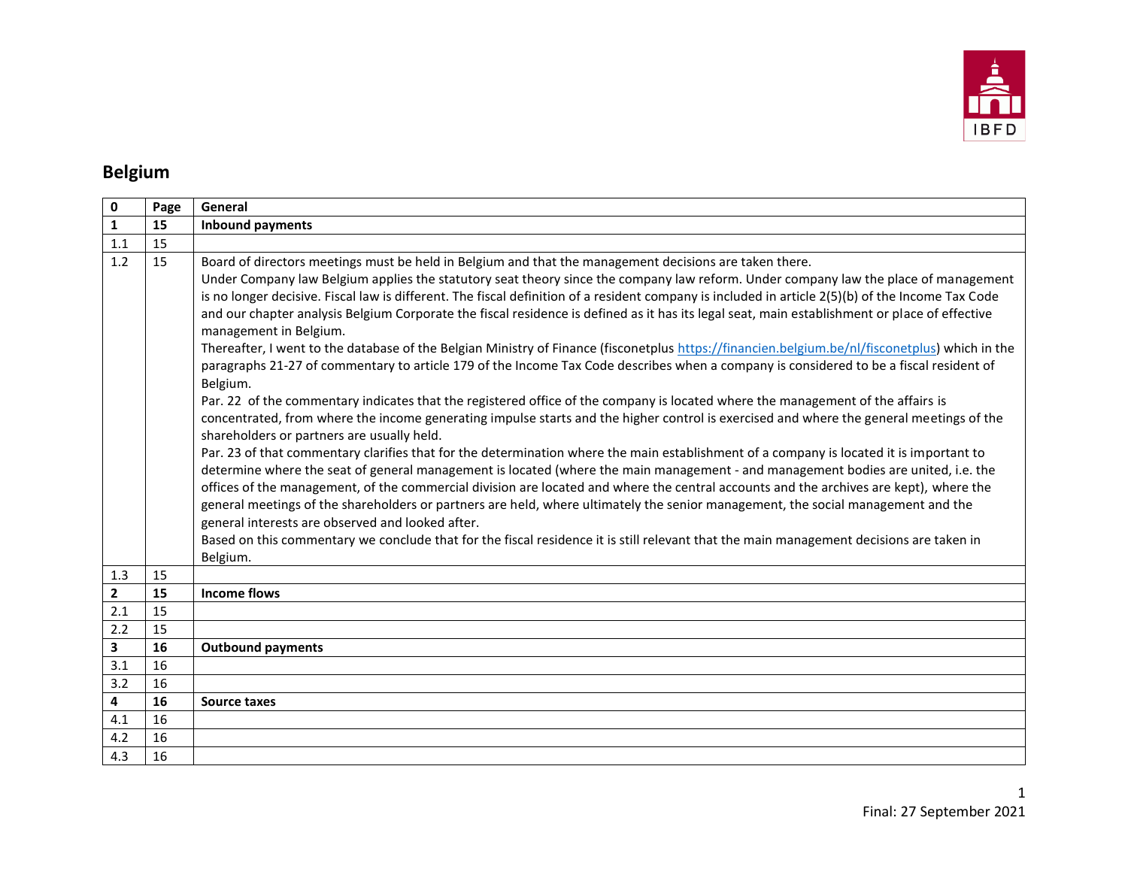

# **Belgium**

| 0                       | Page | General                                                                                                                                                                                                                                                                                                                                                                                                                                                                                                                                                                                                                                                                                                                                                                                                                                                                                                                                                                                                                                                                                                                                                                                                                                                                                                                                                                                                                                                                                                                                                                                                                                                                                                                                                                                                                                                                                                                                                                                    |
|-------------------------|------|--------------------------------------------------------------------------------------------------------------------------------------------------------------------------------------------------------------------------------------------------------------------------------------------------------------------------------------------------------------------------------------------------------------------------------------------------------------------------------------------------------------------------------------------------------------------------------------------------------------------------------------------------------------------------------------------------------------------------------------------------------------------------------------------------------------------------------------------------------------------------------------------------------------------------------------------------------------------------------------------------------------------------------------------------------------------------------------------------------------------------------------------------------------------------------------------------------------------------------------------------------------------------------------------------------------------------------------------------------------------------------------------------------------------------------------------------------------------------------------------------------------------------------------------------------------------------------------------------------------------------------------------------------------------------------------------------------------------------------------------------------------------------------------------------------------------------------------------------------------------------------------------------------------------------------------------------------------------------------------------|
| $\mathbf{1}$            | 15   | <b>Inbound payments</b>                                                                                                                                                                                                                                                                                                                                                                                                                                                                                                                                                                                                                                                                                                                                                                                                                                                                                                                                                                                                                                                                                                                                                                                                                                                                                                                                                                                                                                                                                                                                                                                                                                                                                                                                                                                                                                                                                                                                                                    |
| 1.1                     | 15   |                                                                                                                                                                                                                                                                                                                                                                                                                                                                                                                                                                                                                                                                                                                                                                                                                                                                                                                                                                                                                                                                                                                                                                                                                                                                                                                                                                                                                                                                                                                                                                                                                                                                                                                                                                                                                                                                                                                                                                                            |
| 1.2                     | 15   | Board of directors meetings must be held in Belgium and that the management decisions are taken there.<br>Under Company law Belgium applies the statutory seat theory since the company law reform. Under company law the place of management<br>is no longer decisive. Fiscal law is different. The fiscal definition of a resident company is included in article 2(5)(b) of the Income Tax Code<br>and our chapter analysis Belgium Corporate the fiscal residence is defined as it has its legal seat, main establishment or place of effective<br>management in Belgium.<br>Thereafter, I went to the database of the Belgian Ministry of Finance (fisconetplus https://financien.belgium.be/nl/fisconetplus) which in the<br>paragraphs 21-27 of commentary to article 179 of the Income Tax Code describes when a company is considered to be a fiscal resident of<br>Belgium.<br>Par. 22 of the commentary indicates that the registered office of the company is located where the management of the affairs is<br>concentrated, from where the income generating impulse starts and the higher control is exercised and where the general meetings of the<br>shareholders or partners are usually held.<br>Par. 23 of that commentary clarifies that for the determination where the main establishment of a company is located it is important to<br>determine where the seat of general management is located (where the main management - and management bodies are united, i.e. the<br>offices of the management, of the commercial division are located and where the central accounts and the archives are kept), where the<br>general meetings of the shareholders or partners are held, where ultimately the senior management, the social management and the<br>general interests are observed and looked after.<br>Based on this commentary we conclude that for the fiscal residence it is still relevant that the main management decisions are taken in<br>Belgium. |
| 1.3                     | 15   |                                                                                                                                                                                                                                                                                                                                                                                                                                                                                                                                                                                                                                                                                                                                                                                                                                                                                                                                                                                                                                                                                                                                                                                                                                                                                                                                                                                                                                                                                                                                                                                                                                                                                                                                                                                                                                                                                                                                                                                            |
| $\mathbf{2}$            | 15   | <b>Income flows</b>                                                                                                                                                                                                                                                                                                                                                                                                                                                                                                                                                                                                                                                                                                                                                                                                                                                                                                                                                                                                                                                                                                                                                                                                                                                                                                                                                                                                                                                                                                                                                                                                                                                                                                                                                                                                                                                                                                                                                                        |
| 2.1                     | 15   |                                                                                                                                                                                                                                                                                                                                                                                                                                                                                                                                                                                                                                                                                                                                                                                                                                                                                                                                                                                                                                                                                                                                                                                                                                                                                                                                                                                                                                                                                                                                                                                                                                                                                                                                                                                                                                                                                                                                                                                            |
| 2.2                     | 15   |                                                                                                                                                                                                                                                                                                                                                                                                                                                                                                                                                                                                                                                                                                                                                                                                                                                                                                                                                                                                                                                                                                                                                                                                                                                                                                                                                                                                                                                                                                                                                                                                                                                                                                                                                                                                                                                                                                                                                                                            |
| $\mathbf{3}$            | 16   | <b>Outbound payments</b>                                                                                                                                                                                                                                                                                                                                                                                                                                                                                                                                                                                                                                                                                                                                                                                                                                                                                                                                                                                                                                                                                                                                                                                                                                                                                                                                                                                                                                                                                                                                                                                                                                                                                                                                                                                                                                                                                                                                                                   |
| 3.1                     | 16   |                                                                                                                                                                                                                                                                                                                                                                                                                                                                                                                                                                                                                                                                                                                                                                                                                                                                                                                                                                                                                                                                                                                                                                                                                                                                                                                                                                                                                                                                                                                                                                                                                                                                                                                                                                                                                                                                                                                                                                                            |
| 3.2                     | 16   |                                                                                                                                                                                                                                                                                                                                                                                                                                                                                                                                                                                                                                                                                                                                                                                                                                                                                                                                                                                                                                                                                                                                                                                                                                                                                                                                                                                                                                                                                                                                                                                                                                                                                                                                                                                                                                                                                                                                                                                            |
| $\overline{\mathbf{4}}$ | 16   | <b>Source taxes</b>                                                                                                                                                                                                                                                                                                                                                                                                                                                                                                                                                                                                                                                                                                                                                                                                                                                                                                                                                                                                                                                                                                                                                                                                                                                                                                                                                                                                                                                                                                                                                                                                                                                                                                                                                                                                                                                                                                                                                                        |
| 4.1                     | 16   |                                                                                                                                                                                                                                                                                                                                                                                                                                                                                                                                                                                                                                                                                                                                                                                                                                                                                                                                                                                                                                                                                                                                                                                                                                                                                                                                                                                                                                                                                                                                                                                                                                                                                                                                                                                                                                                                                                                                                                                            |
| 4.2                     | 16   |                                                                                                                                                                                                                                                                                                                                                                                                                                                                                                                                                                                                                                                                                                                                                                                                                                                                                                                                                                                                                                                                                                                                                                                                                                                                                                                                                                                                                                                                                                                                                                                                                                                                                                                                                                                                                                                                                                                                                                                            |
| 4.3                     | 16   |                                                                                                                                                                                                                                                                                                                                                                                                                                                                                                                                                                                                                                                                                                                                                                                                                                                                                                                                                                                                                                                                                                                                                                                                                                                                                                                                                                                                                                                                                                                                                                                                                                                                                                                                                                                                                                                                                                                                                                                            |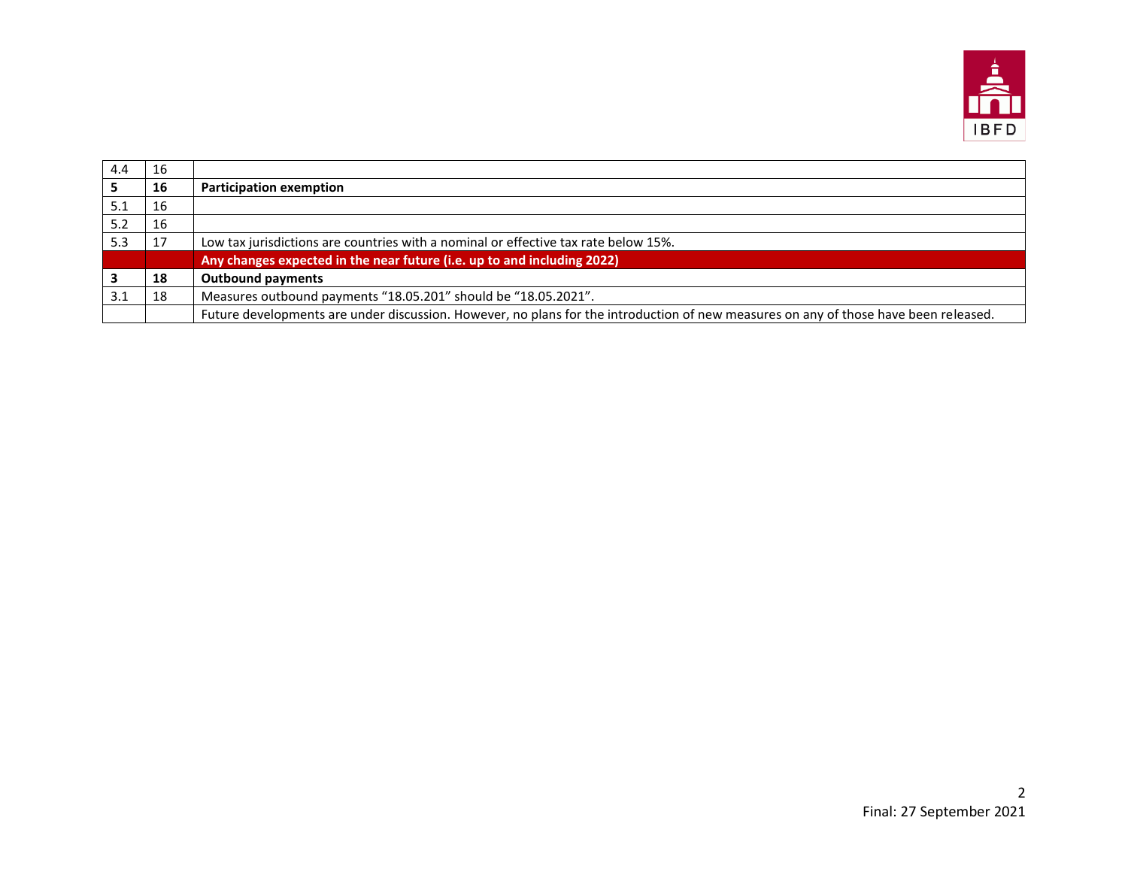

| 4.4 | -16 |                                                                                                                                      |
|-----|-----|--------------------------------------------------------------------------------------------------------------------------------------|
|     | 16  | <b>Participation exemption</b>                                                                                                       |
| 5.1 | -16 |                                                                                                                                      |
| 5.2 | -16 |                                                                                                                                      |
| 5.3 | 17  | Low tax jurisdictions are countries with a nominal or effective tax rate below 15%.                                                  |
|     |     | Any changes expected in the near future (i.e. up to and including 2022)                                                              |
|     | 18  | <b>Outbound payments</b>                                                                                                             |
| 3.1 | 18  | Measures outbound payments "18.05.201" should be "18.05.2021".                                                                       |
|     |     | Future developments are under discussion. However, no plans for the introduction of new measures on any of those have been released. |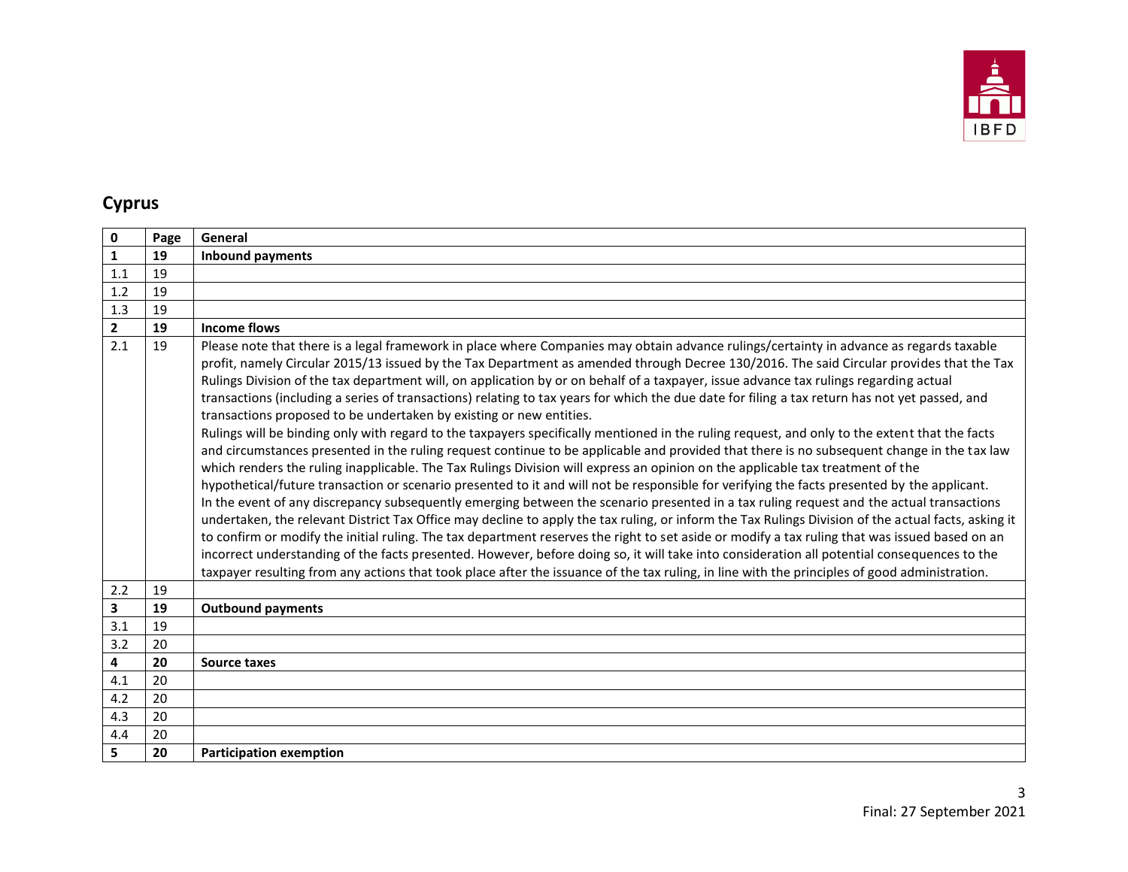

## **Cyprus**

| $\mathbf 0$             | Page | General                                                                                                                                                                                                                                                                                                                                                                                                                                                                                                                                                                                                                                                                                                                                                                                                                                                                                                                                                                                                                                                                                                                                                                                                                                                                                                                                                                                                                                                                                                                                                                                                                                                                                                                                                                                                                                                                                                                                                                                    |
|-------------------------|------|--------------------------------------------------------------------------------------------------------------------------------------------------------------------------------------------------------------------------------------------------------------------------------------------------------------------------------------------------------------------------------------------------------------------------------------------------------------------------------------------------------------------------------------------------------------------------------------------------------------------------------------------------------------------------------------------------------------------------------------------------------------------------------------------------------------------------------------------------------------------------------------------------------------------------------------------------------------------------------------------------------------------------------------------------------------------------------------------------------------------------------------------------------------------------------------------------------------------------------------------------------------------------------------------------------------------------------------------------------------------------------------------------------------------------------------------------------------------------------------------------------------------------------------------------------------------------------------------------------------------------------------------------------------------------------------------------------------------------------------------------------------------------------------------------------------------------------------------------------------------------------------------------------------------------------------------------------------------------------------------|
| $\mathbf{1}$            | 19   | <b>Inbound payments</b>                                                                                                                                                                                                                                                                                                                                                                                                                                                                                                                                                                                                                                                                                                                                                                                                                                                                                                                                                                                                                                                                                                                                                                                                                                                                                                                                                                                                                                                                                                                                                                                                                                                                                                                                                                                                                                                                                                                                                                    |
| 1.1                     | 19   |                                                                                                                                                                                                                                                                                                                                                                                                                                                                                                                                                                                                                                                                                                                                                                                                                                                                                                                                                                                                                                                                                                                                                                                                                                                                                                                                                                                                                                                                                                                                                                                                                                                                                                                                                                                                                                                                                                                                                                                            |
| 1.2                     | 19   |                                                                                                                                                                                                                                                                                                                                                                                                                                                                                                                                                                                                                                                                                                                                                                                                                                                                                                                                                                                                                                                                                                                                                                                                                                                                                                                                                                                                                                                                                                                                                                                                                                                                                                                                                                                                                                                                                                                                                                                            |
| 1.3                     | 19   |                                                                                                                                                                                                                                                                                                                                                                                                                                                                                                                                                                                                                                                                                                                                                                                                                                                                                                                                                                                                                                                                                                                                                                                                                                                                                                                                                                                                                                                                                                                                                                                                                                                                                                                                                                                                                                                                                                                                                                                            |
| $\overline{2}$          | 19   | Income flows                                                                                                                                                                                                                                                                                                                                                                                                                                                                                                                                                                                                                                                                                                                                                                                                                                                                                                                                                                                                                                                                                                                                                                                                                                                                                                                                                                                                                                                                                                                                                                                                                                                                                                                                                                                                                                                                                                                                                                               |
| 2.1                     | 19   | Please note that there is a legal framework in place where Companies may obtain advance rulings/certainty in advance as regards taxable<br>profit, namely Circular 2015/13 issued by the Tax Department as amended through Decree 130/2016. The said Circular provides that the Tax<br>Rulings Division of the tax department will, on application by or on behalf of a taxpayer, issue advance tax rulings regarding actual<br>transactions (including a series of transactions) relating to tax years for which the due date for filing a tax return has not yet passed, and<br>transactions proposed to be undertaken by existing or new entities.<br>Rulings will be binding only with regard to the taxpayers specifically mentioned in the ruling request, and only to the extent that the facts<br>and circumstances presented in the ruling request continue to be applicable and provided that there is no subsequent change in the tax law<br>which renders the ruling inapplicable. The Tax Rulings Division will express an opinion on the applicable tax treatment of the<br>hypothetical/future transaction or scenario presented to it and will not be responsible for verifying the facts presented by the applicant.<br>In the event of any discrepancy subsequently emerging between the scenario presented in a tax ruling request and the actual transactions<br>undertaken, the relevant District Tax Office may decline to apply the tax ruling, or inform the Tax Rulings Division of the actual facts, asking it<br>to confirm or modify the initial ruling. The tax department reserves the right to set aside or modify a tax ruling that was issued based on an<br>incorrect understanding of the facts presented. However, before doing so, it will take into consideration all potential consequences to the<br>taxpayer resulting from any actions that took place after the issuance of the tax ruling, in line with the principles of good administration. |
| 2.2                     | 19   |                                                                                                                                                                                                                                                                                                                                                                                                                                                                                                                                                                                                                                                                                                                                                                                                                                                                                                                                                                                                                                                                                                                                                                                                                                                                                                                                                                                                                                                                                                                                                                                                                                                                                                                                                                                                                                                                                                                                                                                            |
| $\overline{\mathbf{3}}$ | 19   | <b>Outbound payments</b>                                                                                                                                                                                                                                                                                                                                                                                                                                                                                                                                                                                                                                                                                                                                                                                                                                                                                                                                                                                                                                                                                                                                                                                                                                                                                                                                                                                                                                                                                                                                                                                                                                                                                                                                                                                                                                                                                                                                                                   |
| 3.1                     | 19   |                                                                                                                                                                                                                                                                                                                                                                                                                                                                                                                                                                                                                                                                                                                                                                                                                                                                                                                                                                                                                                                                                                                                                                                                                                                                                                                                                                                                                                                                                                                                                                                                                                                                                                                                                                                                                                                                                                                                                                                            |
| 3.2                     | 20   |                                                                                                                                                                                                                                                                                                                                                                                                                                                                                                                                                                                                                                                                                                                                                                                                                                                                                                                                                                                                                                                                                                                                                                                                                                                                                                                                                                                                                                                                                                                                                                                                                                                                                                                                                                                                                                                                                                                                                                                            |
| 4                       | 20   | <b>Source taxes</b>                                                                                                                                                                                                                                                                                                                                                                                                                                                                                                                                                                                                                                                                                                                                                                                                                                                                                                                                                                                                                                                                                                                                                                                                                                                                                                                                                                                                                                                                                                                                                                                                                                                                                                                                                                                                                                                                                                                                                                        |
| 4.1                     | 20   |                                                                                                                                                                                                                                                                                                                                                                                                                                                                                                                                                                                                                                                                                                                                                                                                                                                                                                                                                                                                                                                                                                                                                                                                                                                                                                                                                                                                                                                                                                                                                                                                                                                                                                                                                                                                                                                                                                                                                                                            |
| 4.2                     | 20   |                                                                                                                                                                                                                                                                                                                                                                                                                                                                                                                                                                                                                                                                                                                                                                                                                                                                                                                                                                                                                                                                                                                                                                                                                                                                                                                                                                                                                                                                                                                                                                                                                                                                                                                                                                                                                                                                                                                                                                                            |
| 4.3                     | 20   |                                                                                                                                                                                                                                                                                                                                                                                                                                                                                                                                                                                                                                                                                                                                                                                                                                                                                                                                                                                                                                                                                                                                                                                                                                                                                                                                                                                                                                                                                                                                                                                                                                                                                                                                                                                                                                                                                                                                                                                            |
| 4.4                     | 20   |                                                                                                                                                                                                                                                                                                                                                                                                                                                                                                                                                                                                                                                                                                                                                                                                                                                                                                                                                                                                                                                                                                                                                                                                                                                                                                                                                                                                                                                                                                                                                                                                                                                                                                                                                                                                                                                                                                                                                                                            |
| 5                       | 20   | <b>Participation exemption</b>                                                                                                                                                                                                                                                                                                                                                                                                                                                                                                                                                                                                                                                                                                                                                                                                                                                                                                                                                                                                                                                                                                                                                                                                                                                                                                                                                                                                                                                                                                                                                                                                                                                                                                                                                                                                                                                                                                                                                             |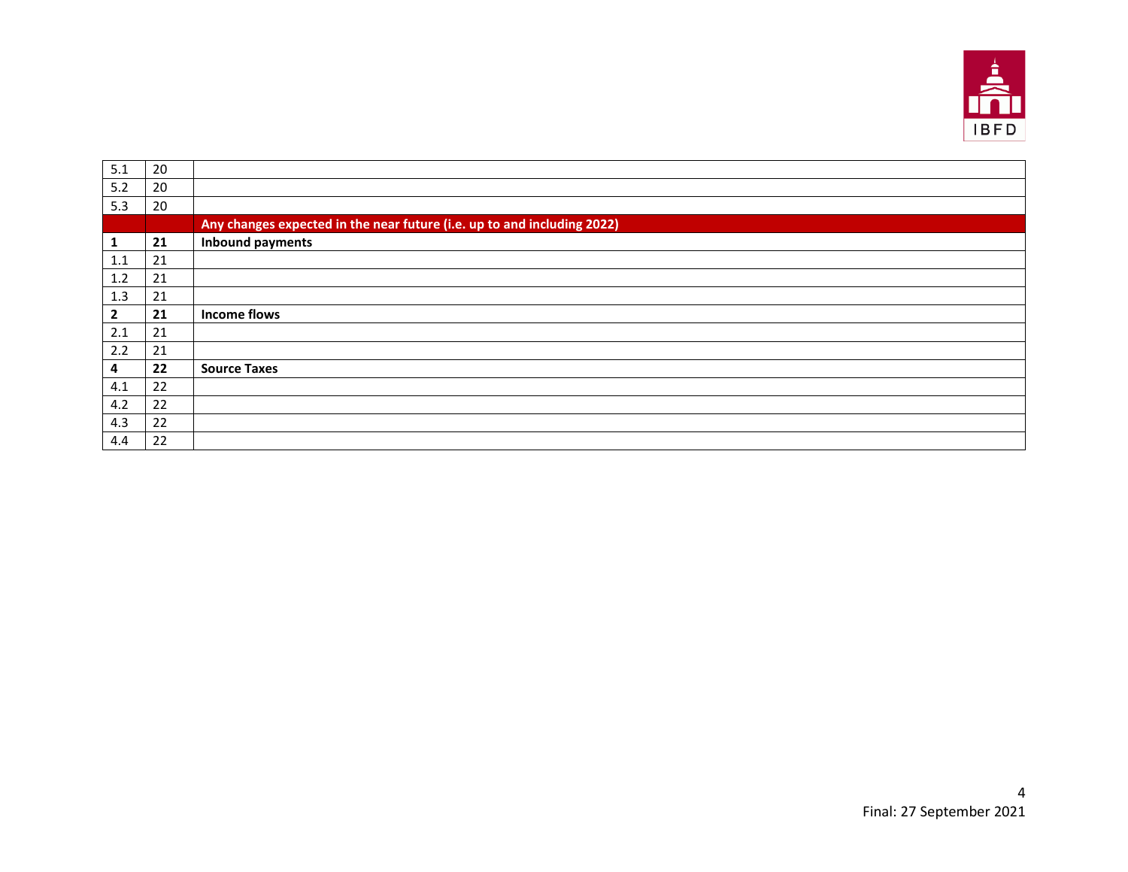

| 5.1            | 20 |                                                                         |
|----------------|----|-------------------------------------------------------------------------|
| 5.2            | 20 |                                                                         |
| 5.3            | 20 |                                                                         |
|                |    | Any changes expected in the near future (i.e. up to and including 2022) |
| 1              | 21 | <b>Inbound payments</b>                                                 |
| 1.1            | 21 |                                                                         |
| 1.2            | 21 |                                                                         |
| 1.3            | 21 |                                                                         |
| $\overline{2}$ | 21 | <b>Income flows</b>                                                     |
| 2.1            | 21 |                                                                         |
| 2.2            | 21 |                                                                         |
| 4              | 22 | <b>Source Taxes</b>                                                     |
| 4.1            | 22 |                                                                         |
| 4.2            | 22 |                                                                         |
| 4.3            | 22 |                                                                         |
| 4.4            | 22 |                                                                         |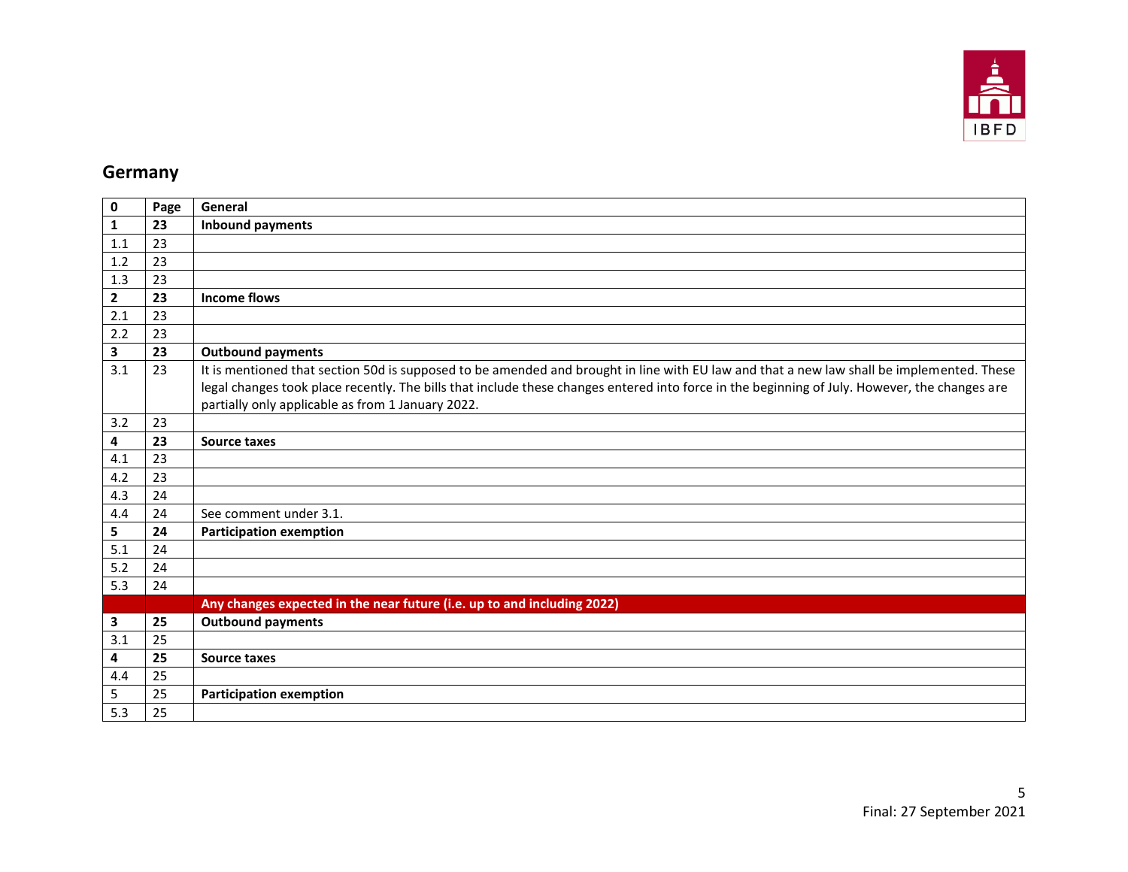

## **Germany**

| 0              | Page | General                                                                                                                                                                                                                                                                                                                                         |
|----------------|------|-------------------------------------------------------------------------------------------------------------------------------------------------------------------------------------------------------------------------------------------------------------------------------------------------------------------------------------------------|
| 1              | 23   | <b>Inbound payments</b>                                                                                                                                                                                                                                                                                                                         |
| 1.1            | 23   |                                                                                                                                                                                                                                                                                                                                                 |
| 1.2            | 23   |                                                                                                                                                                                                                                                                                                                                                 |
| 1.3            | 23   |                                                                                                                                                                                                                                                                                                                                                 |
| $\overline{2}$ | 23   | <b>Income flows</b>                                                                                                                                                                                                                                                                                                                             |
| 2.1            | 23   |                                                                                                                                                                                                                                                                                                                                                 |
| 2.2            | 23   |                                                                                                                                                                                                                                                                                                                                                 |
| 3              | 23   | <b>Outbound payments</b>                                                                                                                                                                                                                                                                                                                        |
| 3.1            | 23   | It is mentioned that section 50d is supposed to be amended and brought in line with EU law and that a new law shall be implemented. These<br>legal changes took place recently. The bills that include these changes entered into force in the beginning of July. However, the changes are<br>partially only applicable as from 1 January 2022. |
| 3.2            | 23   |                                                                                                                                                                                                                                                                                                                                                 |
| 4              | 23   | <b>Source taxes</b>                                                                                                                                                                                                                                                                                                                             |
| 4.1            | 23   |                                                                                                                                                                                                                                                                                                                                                 |
| 4.2            | 23   |                                                                                                                                                                                                                                                                                                                                                 |
| 4.3            | 24   |                                                                                                                                                                                                                                                                                                                                                 |
| 4.4            | 24   | See comment under 3.1.                                                                                                                                                                                                                                                                                                                          |
| 5              | 24   | <b>Participation exemption</b>                                                                                                                                                                                                                                                                                                                  |
| 5.1            | 24   |                                                                                                                                                                                                                                                                                                                                                 |
| 5.2            | 24   |                                                                                                                                                                                                                                                                                                                                                 |
| 5.3            | 24   |                                                                                                                                                                                                                                                                                                                                                 |
|                |      | Any changes expected in the near future (i.e. up to and including 2022)                                                                                                                                                                                                                                                                         |
| 3              | 25   | <b>Outbound payments</b>                                                                                                                                                                                                                                                                                                                        |
| 3.1            | 25   |                                                                                                                                                                                                                                                                                                                                                 |
| 4              | 25   | Source taxes                                                                                                                                                                                                                                                                                                                                    |
| 4.4            | 25   |                                                                                                                                                                                                                                                                                                                                                 |
| 5              | 25   | <b>Participation exemption</b>                                                                                                                                                                                                                                                                                                                  |
| 5.3            | 25   |                                                                                                                                                                                                                                                                                                                                                 |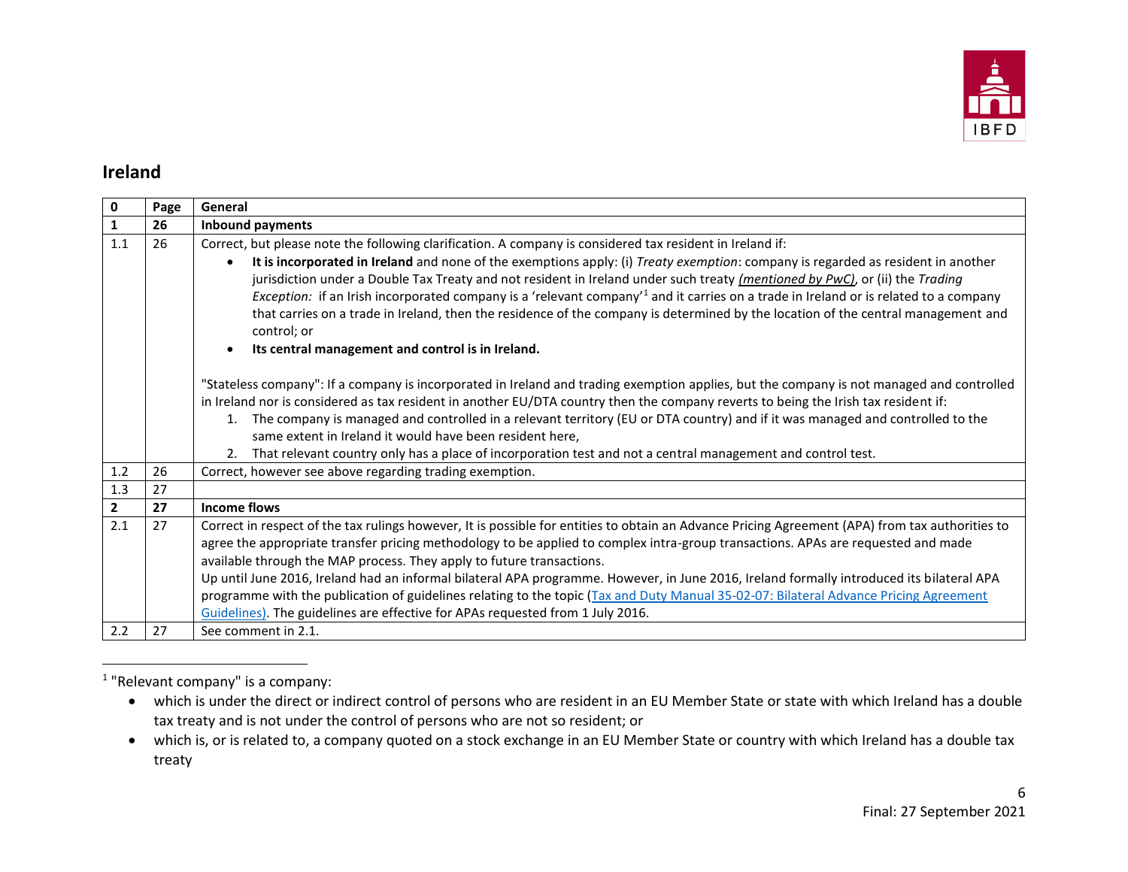

#### **Ireland**

| 0              | Page | General                                                                                                                                                                                                                                                                                                                                                                                                                                                                                                                                                                                                                                                                                                                               |
|----------------|------|---------------------------------------------------------------------------------------------------------------------------------------------------------------------------------------------------------------------------------------------------------------------------------------------------------------------------------------------------------------------------------------------------------------------------------------------------------------------------------------------------------------------------------------------------------------------------------------------------------------------------------------------------------------------------------------------------------------------------------------|
| $\mathbf 1$    | 26   | <b>Inbound payments</b>                                                                                                                                                                                                                                                                                                                                                                                                                                                                                                                                                                                                                                                                                                               |
| 1.1            | 26   | Correct, but please note the following clarification. A company is considered tax resident in Ireland if:                                                                                                                                                                                                                                                                                                                                                                                                                                                                                                                                                                                                                             |
|                |      | It is incorporated in Ireland and none of the exemptions apply: (i) Treaty exemption: company is regarded as resident in another<br>$\bullet$<br>jurisdiction under a Double Tax Treaty and not resident in Ireland under such treaty (mentioned by PwC), or (ii) the Trading<br>Exception: if an Irish incorporated company is a 'relevant company' <sup>1</sup> and it carries on a trade in Ireland or is related to a company<br>that carries on a trade in Ireland, then the residence of the company is determined by the location of the central management and<br>control; or<br>Its central management and control is in Ireland.<br>$\bullet$                                                                               |
|                |      | "Stateless company": If a company is incorporated in Ireland and trading exemption applies, but the company is not managed and controlled<br>in Ireland nor is considered as tax resident in another EU/DTA country then the company reverts to being the Irish tax resident if:<br>1. The company is managed and controlled in a relevant territory (EU or DTA country) and if it was managed and controlled to the<br>same extent in Ireland it would have been resident here,<br>2. That relevant country only has a place of incorporation test and not a central management and control test.                                                                                                                                    |
| 1.2            | 26   | Correct, however see above regarding trading exemption.                                                                                                                                                                                                                                                                                                                                                                                                                                                                                                                                                                                                                                                                               |
| 1.3            | 27   |                                                                                                                                                                                                                                                                                                                                                                                                                                                                                                                                                                                                                                                                                                                                       |
| $\overline{2}$ | 27   | <b>Income flows</b>                                                                                                                                                                                                                                                                                                                                                                                                                                                                                                                                                                                                                                                                                                                   |
| 2.1            | 27   | Correct in respect of the tax rulings however, It is possible for entities to obtain an Advance Pricing Agreement (APA) from tax authorities to<br>agree the appropriate transfer pricing methodology to be applied to complex intra-group transactions. APAs are requested and made<br>available through the MAP process. They apply to future transactions.<br>Up until June 2016, Ireland had an informal bilateral APA programme. However, in June 2016, Ireland formally introduced its bilateral APA<br>programme with the publication of guidelines relating to the topic (Tax and Duty Manual 35-02-07: Bilateral Advance Pricing Agreement<br>Guidelines). The guidelines are effective for APAs requested from 1 July 2016. |
| 2.2            | 27   | See comment in 2.1.                                                                                                                                                                                                                                                                                                                                                                                                                                                                                                                                                                                                                                                                                                                   |

<sup>1</sup> "Relevant company" is a company:

 $\overline{\phantom{a}}$ 

 which is under the direct or indirect control of persons who are resident in an EU Member State or state with which Ireland has a double tax treaty and is not under the control of persons who are not so resident; or

which is, or is related to, a company quoted on a stock exchange in an EU Member State or country with which Ireland has a double tax treaty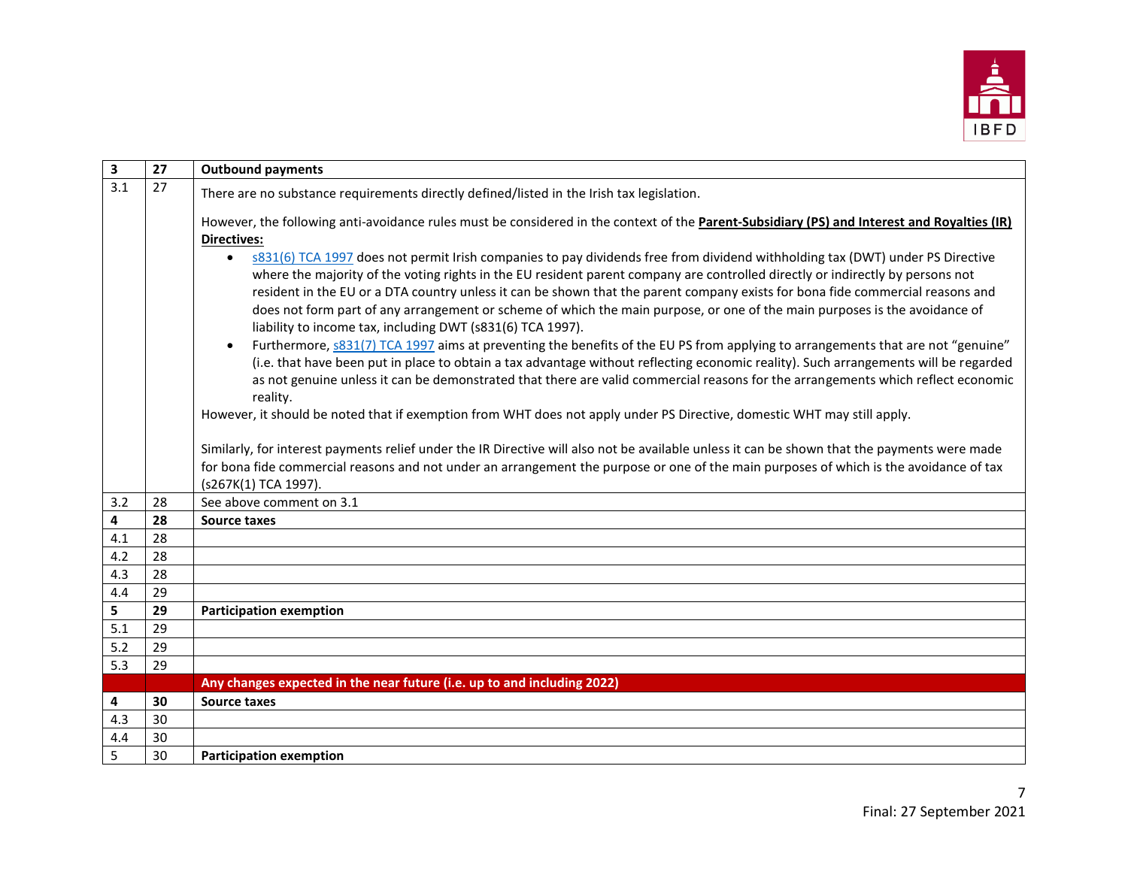

| $\mathbf{3}$            | 27 | <b>Outbound payments</b>                                                                                                                                                                                                                                                                                                                                                                                                                                                                                                                                                                                   |
|-------------------------|----|------------------------------------------------------------------------------------------------------------------------------------------------------------------------------------------------------------------------------------------------------------------------------------------------------------------------------------------------------------------------------------------------------------------------------------------------------------------------------------------------------------------------------------------------------------------------------------------------------------|
| 3.1                     | 27 | There are no substance requirements directly defined/listed in the Irish tax legislation.                                                                                                                                                                                                                                                                                                                                                                                                                                                                                                                  |
|                         |    | However, the following anti-avoidance rules must be considered in the context of the Parent-Subsidiary (PS) and Interest and Royalties (IR)<br><b>Directives:</b>                                                                                                                                                                                                                                                                                                                                                                                                                                          |
|                         |    | s831(6) TCA 1997 does not permit Irish companies to pay dividends free from dividend withholding tax (DWT) under PS Directive<br>$\bullet$<br>where the majority of the voting rights in the EU resident parent company are controlled directly or indirectly by persons not<br>resident in the EU or a DTA country unless it can be shown that the parent company exists for bona fide commercial reasons and<br>does not form part of any arrangement or scheme of which the main purpose, or one of the main purposes is the avoidance of<br>liability to income tax, including DWT (s831(6) TCA 1997). |
|                         |    | Furthermore, $s831(7)$ TCA 1997 aims at preventing the benefits of the EU PS from applying to arrangements that are not "genuine"<br>$\bullet$<br>(i.e. that have been put in place to obtain a tax advantage without reflecting economic reality). Such arrangements will be regarded<br>as not genuine unless it can be demonstrated that there are valid commercial reasons for the arrangements which reflect economic<br>reality.                                                                                                                                                                     |
|                         |    | However, it should be noted that if exemption from WHT does not apply under PS Directive, domestic WHT may still apply.                                                                                                                                                                                                                                                                                                                                                                                                                                                                                    |
|                         |    | Similarly, for interest payments relief under the IR Directive will also not be available unless it can be shown that the payments were made<br>for bona fide commercial reasons and not under an arrangement the purpose or one of the main purposes of which is the avoidance of tax<br>(s267K(1) TCA 1997).                                                                                                                                                                                                                                                                                             |
| 3.2                     | 28 | See above comment on 3.1                                                                                                                                                                                                                                                                                                                                                                                                                                                                                                                                                                                   |
| $\overline{\mathbf{4}}$ | 28 | Source taxes                                                                                                                                                                                                                                                                                                                                                                                                                                                                                                                                                                                               |
| 4.1                     | 28 |                                                                                                                                                                                                                                                                                                                                                                                                                                                                                                                                                                                                            |
| 4.2                     | 28 |                                                                                                                                                                                                                                                                                                                                                                                                                                                                                                                                                                                                            |
| 4.3                     | 28 |                                                                                                                                                                                                                                                                                                                                                                                                                                                                                                                                                                                                            |
| 4.4                     | 29 |                                                                                                                                                                                                                                                                                                                                                                                                                                                                                                                                                                                                            |
| 5                       | 29 | <b>Participation exemption</b>                                                                                                                                                                                                                                                                                                                                                                                                                                                                                                                                                                             |
| 5.1                     | 29 |                                                                                                                                                                                                                                                                                                                                                                                                                                                                                                                                                                                                            |
| 5.2                     | 29 |                                                                                                                                                                                                                                                                                                                                                                                                                                                                                                                                                                                                            |
| 5.3                     | 29 |                                                                                                                                                                                                                                                                                                                                                                                                                                                                                                                                                                                                            |
|                         |    | Any changes expected in the near future (i.e. up to and including 2022)                                                                                                                                                                                                                                                                                                                                                                                                                                                                                                                                    |
| 4                       | 30 | <b>Source taxes</b>                                                                                                                                                                                                                                                                                                                                                                                                                                                                                                                                                                                        |
| 4.3                     | 30 |                                                                                                                                                                                                                                                                                                                                                                                                                                                                                                                                                                                                            |
| 4.4                     | 30 |                                                                                                                                                                                                                                                                                                                                                                                                                                                                                                                                                                                                            |
| 5                       | 30 | <b>Participation exemption</b>                                                                                                                                                                                                                                                                                                                                                                                                                                                                                                                                                                             |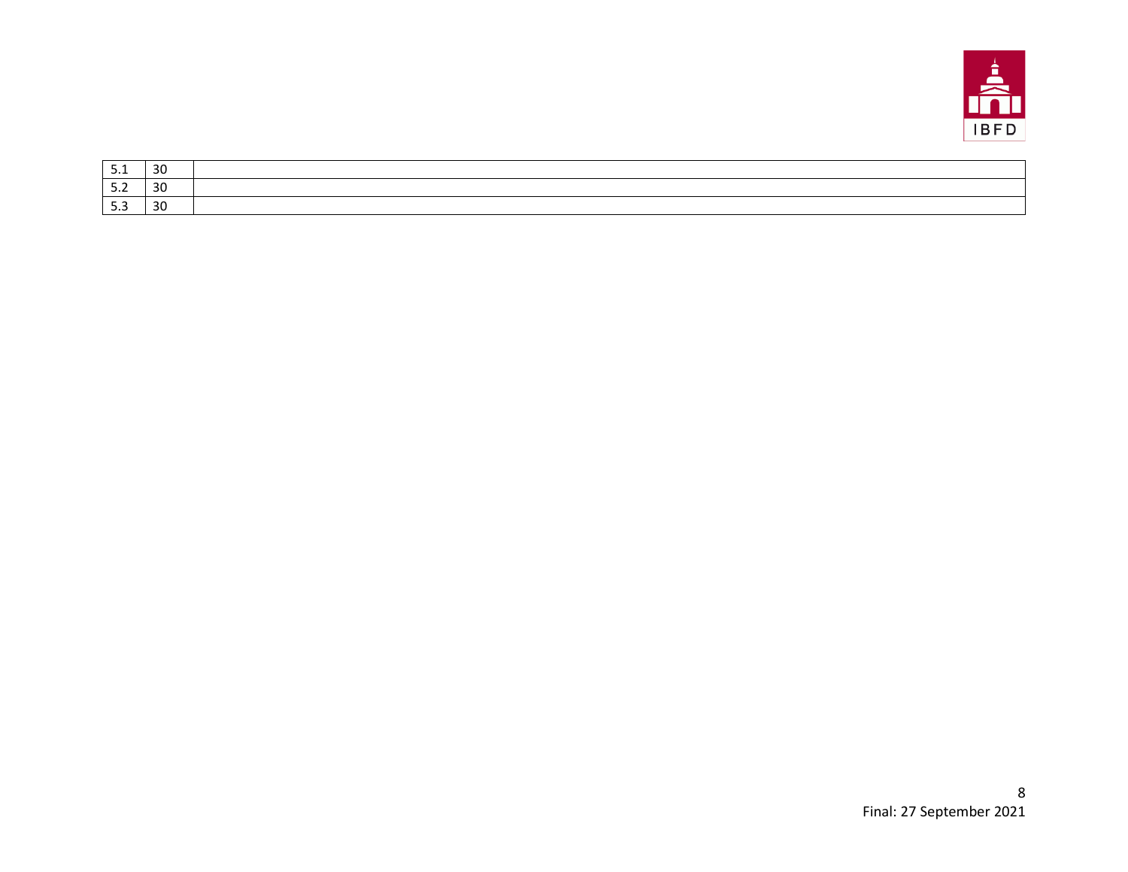

| ـ . ـ | $\sim$<br>3U |  |
|-------|--------------|--|
| ے . د | 30           |  |
|       | ີ<br>30      |  |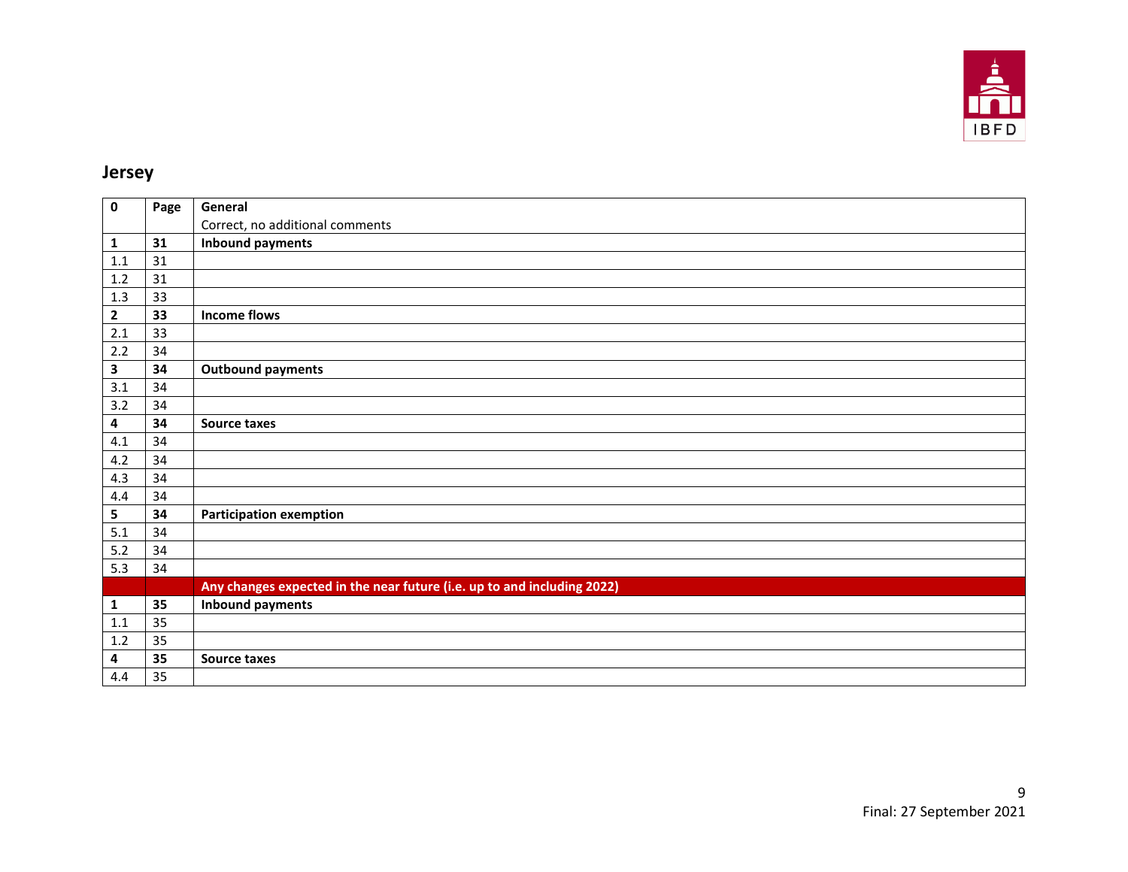

#### **Jersey**

| $\mathbf 0$    | Page | General                                                                 |
|----------------|------|-------------------------------------------------------------------------|
|                |      | Correct, no additional comments                                         |
| 1              | 31   | <b>Inbound payments</b>                                                 |
| 1.1            | 31   |                                                                         |
| $1.2\,$        | 31   |                                                                         |
| 1.3            | 33   |                                                                         |
| $\overline{2}$ | 33   | <b>Income flows</b>                                                     |
| 2.1            | 33   |                                                                         |
| 2.2            | 34   |                                                                         |
| 3              | 34   | <b>Outbound payments</b>                                                |
| 3.1            | 34   |                                                                         |
| 3.2            | 34   |                                                                         |
| 4              | 34   | <b>Source taxes</b>                                                     |
| 4.1            | 34   |                                                                         |
| 4.2            | 34   |                                                                         |
| 4.3            | 34   |                                                                         |
| 4.4            | 34   |                                                                         |
| 5              | 34   | <b>Participation exemption</b>                                          |
| 5.1            | 34   |                                                                         |
| 5.2            | 34   |                                                                         |
| 5.3            | 34   |                                                                         |
|                |      | Any changes expected in the near future (i.e. up to and including 2022) |
| 1              | 35   | <b>Inbound payments</b>                                                 |
| 1.1            | 35   |                                                                         |
| 1.2            | 35   |                                                                         |
| 4              | 35   | Source taxes                                                            |
| 4.4            | 35   |                                                                         |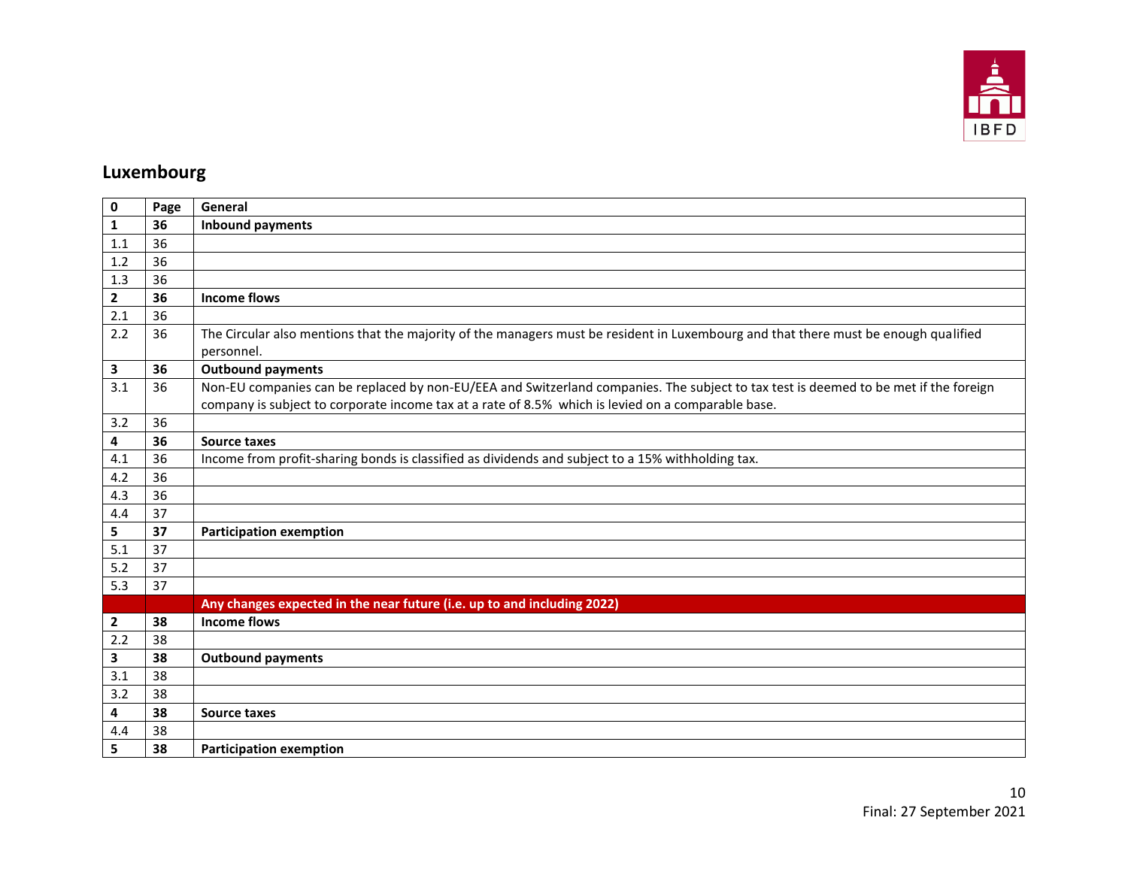

## **Luxembourg**

| $\mathbf 0$    | Page | General                                                                                                                                                                                                                                    |
|----------------|------|--------------------------------------------------------------------------------------------------------------------------------------------------------------------------------------------------------------------------------------------|
| 1              | 36   | <b>Inbound payments</b>                                                                                                                                                                                                                    |
| 1.1            | 36   |                                                                                                                                                                                                                                            |
| 1.2            | 36   |                                                                                                                                                                                                                                            |
| 1.3            | 36   |                                                                                                                                                                                                                                            |
| $\overline{2}$ | 36   | <b>Income flows</b>                                                                                                                                                                                                                        |
| 2.1            | 36   |                                                                                                                                                                                                                                            |
| 2.2            | 36   | The Circular also mentions that the majority of the managers must be resident in Luxembourg and that there must be enough qualified<br>personnel.                                                                                          |
| 3              | 36   | <b>Outbound payments</b>                                                                                                                                                                                                                   |
| 3.1            | 36   | Non-EU companies can be replaced by non-EU/EEA and Switzerland companies. The subject to tax test is deemed to be met if the foreign<br>company is subject to corporate income tax at a rate of 8.5% which is levied on a comparable base. |
| 3.2            | 36   |                                                                                                                                                                                                                                            |
| 4              | 36   | Source taxes                                                                                                                                                                                                                               |
| 4.1            | 36   | Income from profit-sharing bonds is classified as dividends and subject to a 15% withholding tax.                                                                                                                                          |
| 4.2            | 36   |                                                                                                                                                                                                                                            |
| 4.3            | 36   |                                                                                                                                                                                                                                            |
| 4.4            | 37   |                                                                                                                                                                                                                                            |
| 5              | 37   | <b>Participation exemption</b>                                                                                                                                                                                                             |
| 5.1            | 37   |                                                                                                                                                                                                                                            |
| 5.2            | 37   |                                                                                                                                                                                                                                            |
| 5.3            | 37   |                                                                                                                                                                                                                                            |
|                |      | Any changes expected in the near future (i.e. up to and including 2022)                                                                                                                                                                    |
| $\overline{2}$ | 38   | <b>Income flows</b>                                                                                                                                                                                                                        |
| 2.2            | 38   |                                                                                                                                                                                                                                            |
| 3              | 38   | <b>Outbound payments</b>                                                                                                                                                                                                                   |
| 3.1            | 38   |                                                                                                                                                                                                                                            |
| 3.2            | 38   |                                                                                                                                                                                                                                            |
| 4              | 38   | <b>Source taxes</b>                                                                                                                                                                                                                        |
| 4.4            | 38   |                                                                                                                                                                                                                                            |
| 5              | 38   | <b>Participation exemption</b>                                                                                                                                                                                                             |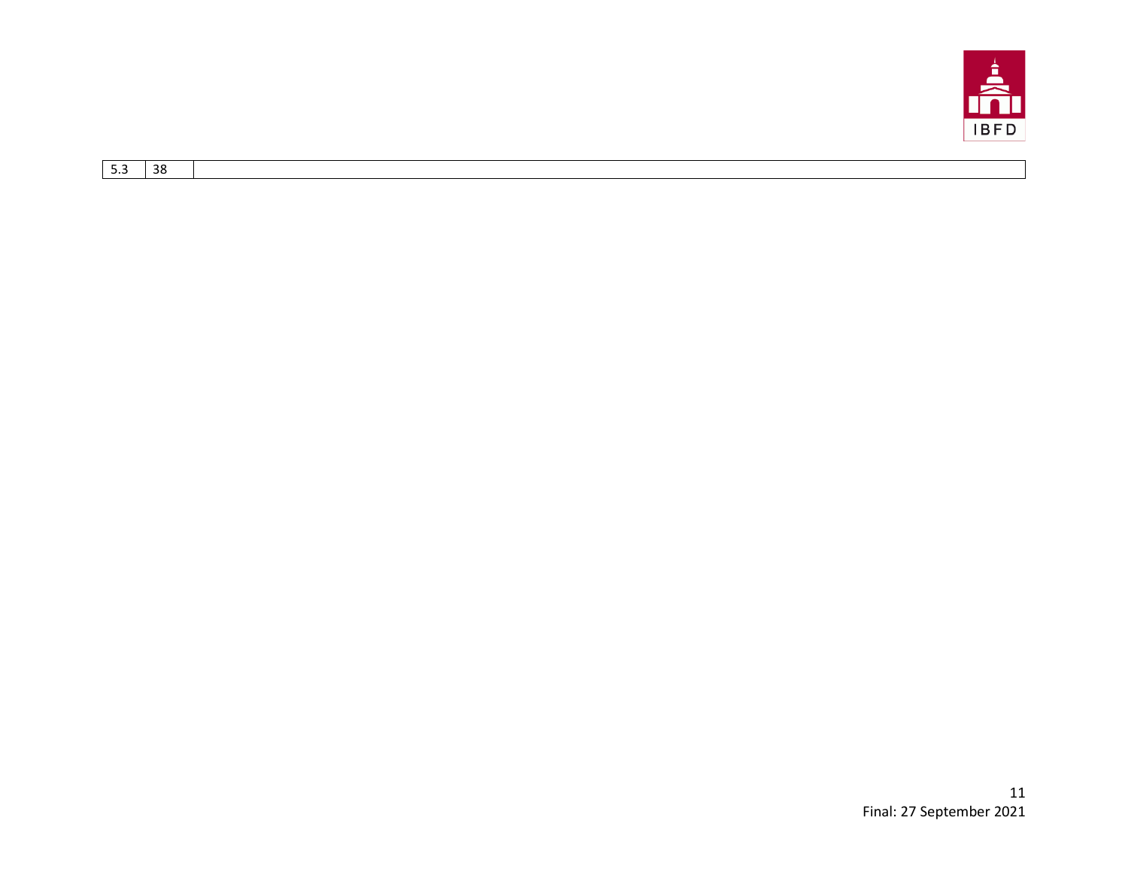

| ົາດ      |  |
|----------|--|
| ^^<br>-- |  |
|          |  |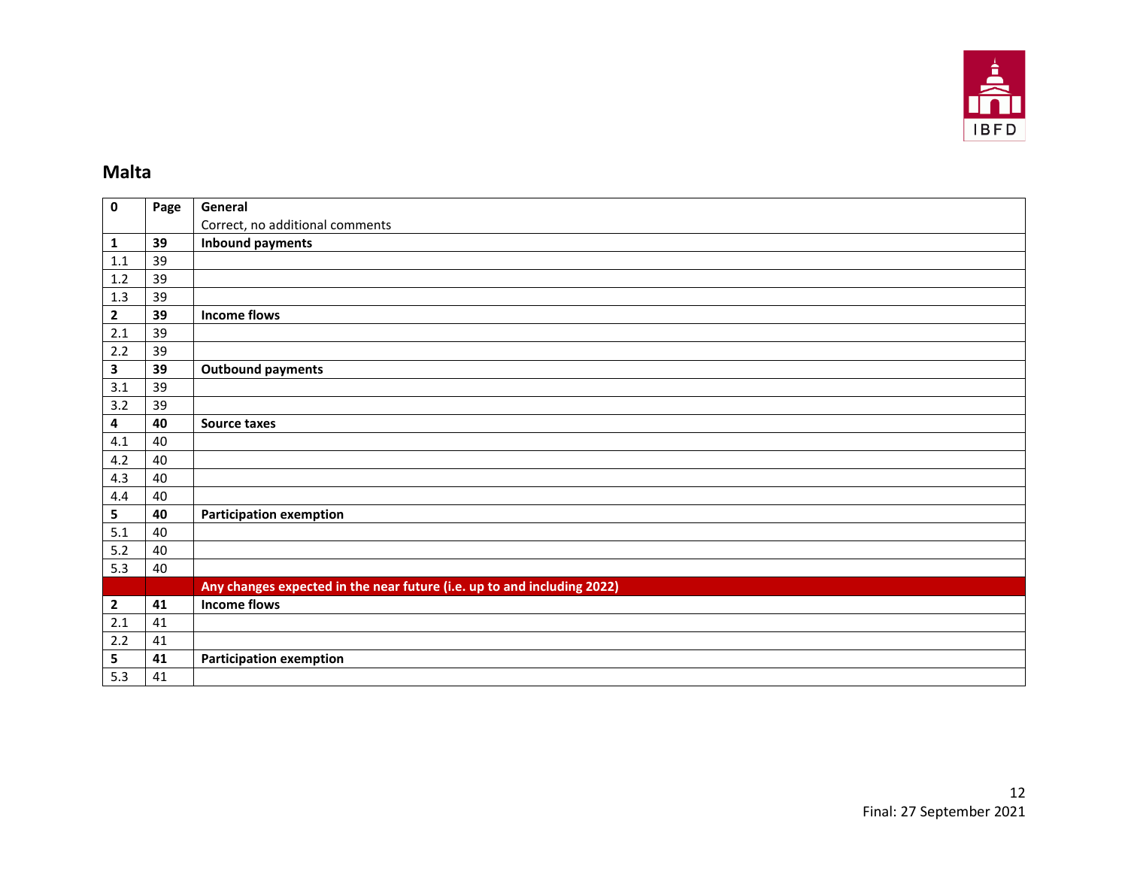

## **Malta**

| $\mathbf 0$             | Page | General                                                                 |
|-------------------------|------|-------------------------------------------------------------------------|
|                         |      | Correct, no additional comments                                         |
| 1                       | 39   | <b>Inbound payments</b>                                                 |
| 1.1                     | 39   |                                                                         |
| 1.2                     | 39   |                                                                         |
| 1.3                     | 39   |                                                                         |
| $\mathbf{2}$            | 39   | <b>Income flows</b>                                                     |
| 2.1                     | 39   |                                                                         |
| 2.2                     | 39   |                                                                         |
| $\mathbf{3}$            | 39   | <b>Outbound payments</b>                                                |
| 3.1                     | 39   |                                                                         |
| 3.2                     | 39   |                                                                         |
| $\pmb{4}$               | 40   | Source taxes                                                            |
| 4.1                     | 40   |                                                                         |
| 4.2                     | 40   |                                                                         |
| 4.3                     | 40   |                                                                         |
| 4.4                     | 40   |                                                                         |
| ${\sf 5}$               | 40   | <b>Participation exemption</b>                                          |
| 5.1                     | 40   |                                                                         |
| 5.2                     | 40   |                                                                         |
| 5.3                     | 40   |                                                                         |
|                         |      | Any changes expected in the near future (i.e. up to and including 2022) |
| $\overline{\mathbf{2}}$ | 41   | <b>Income flows</b>                                                     |
| 2.1                     | 41   |                                                                         |
| 2.2                     | 41   |                                                                         |
| 5                       | 41   | <b>Participation exemption</b>                                          |
| 5.3                     | 41   |                                                                         |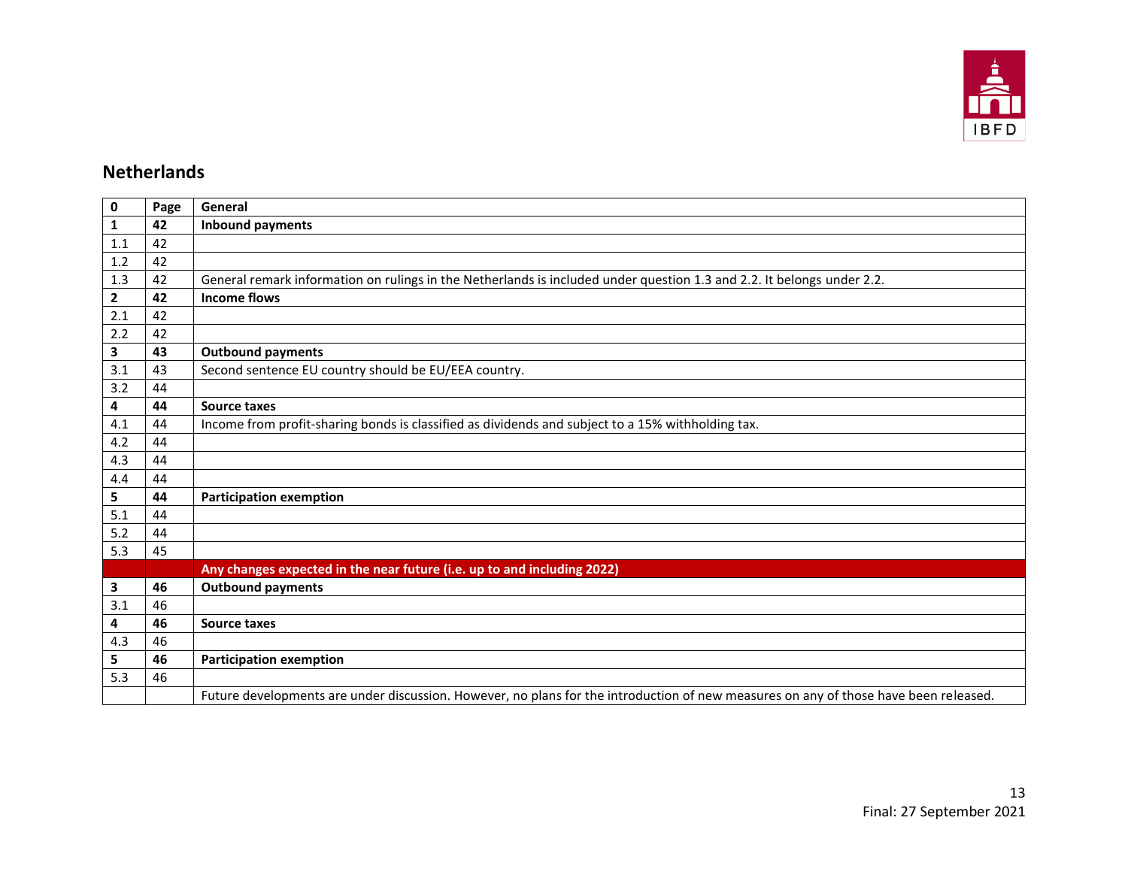

#### **Netherlands**

| $\pmb{0}$    | Page | General                                                                                                                              |
|--------------|------|--------------------------------------------------------------------------------------------------------------------------------------|
| $\mathbf{1}$ | 42   | <b>Inbound payments</b>                                                                                                              |
| 1.1          | 42   |                                                                                                                                      |
| 1.2          | 42   |                                                                                                                                      |
| 1.3          | 42   | General remark information on rulings in the Netherlands is included under question 1.3 and 2.2. It belongs under 2.2.               |
| $\mathbf{2}$ | 42   | <b>Income flows</b>                                                                                                                  |
| 2.1          | 42   |                                                                                                                                      |
| 2.2          | 42   |                                                                                                                                      |
| 3            | 43   | <b>Outbound payments</b>                                                                                                             |
| 3.1          | 43   | Second sentence EU country should be EU/EEA country.                                                                                 |
| 3.2          | 44   |                                                                                                                                      |
| 4            | 44   | <b>Source taxes</b>                                                                                                                  |
| 4.1          | 44   | Income from profit-sharing bonds is classified as dividends and subject to a 15% withholding tax.                                    |
| 4.2          | 44   |                                                                                                                                      |
| 4.3          | 44   |                                                                                                                                      |
| 4.4          | 44   |                                                                                                                                      |
| 5            | 44   | <b>Participation exemption</b>                                                                                                       |
| 5.1          | 44   |                                                                                                                                      |
| 5.2          | 44   |                                                                                                                                      |
| 5.3          | 45   |                                                                                                                                      |
|              |      | Any changes expected in the near future (i.e. up to and including 2022)                                                              |
| 3            | 46   | <b>Outbound payments</b>                                                                                                             |
| 3.1          | 46   |                                                                                                                                      |
| 4            | 46   | <b>Source taxes</b>                                                                                                                  |
| 4.3          | 46   |                                                                                                                                      |
| 5            | 46   | <b>Participation exemption</b>                                                                                                       |
| 5.3          | 46   |                                                                                                                                      |
|              |      | Future developments are under discussion. However, no plans for the introduction of new measures on any of those have been released. |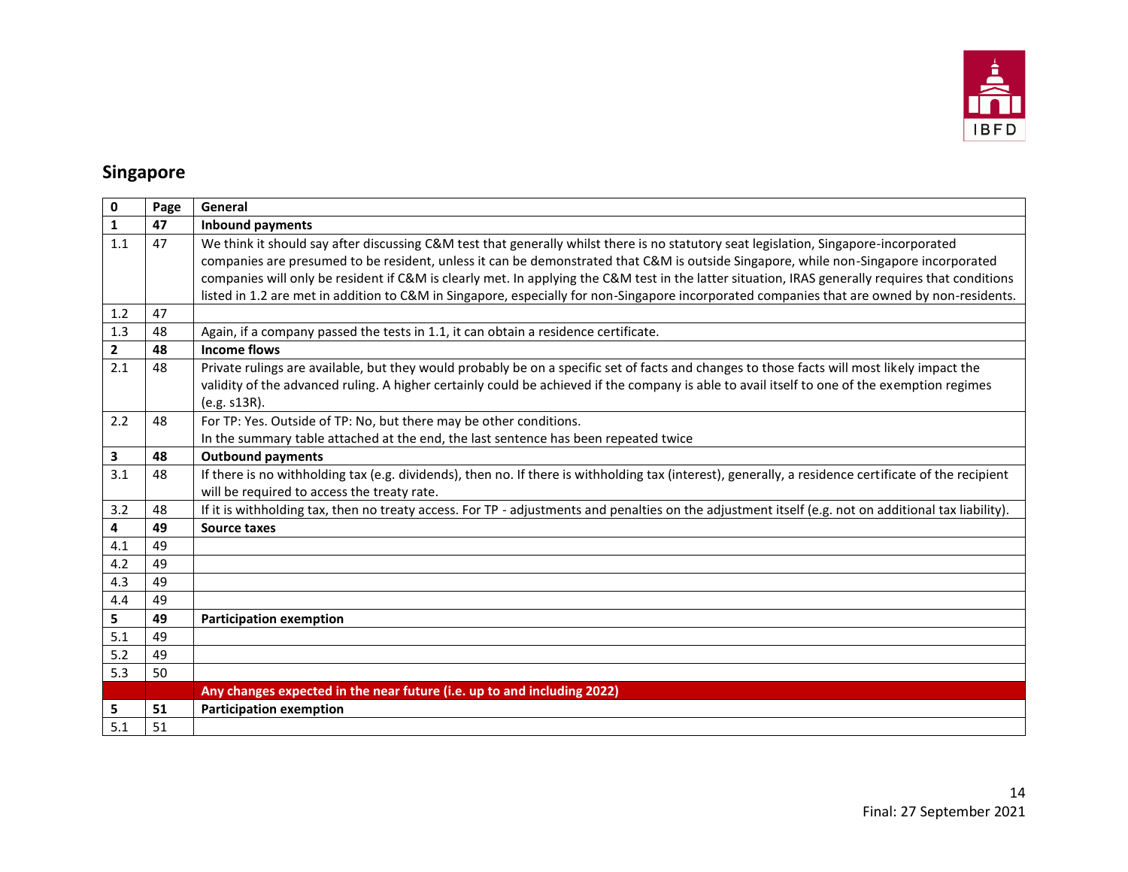

## **Singapore**

| 0              | Page | General                                                                                                                                               |
|----------------|------|-------------------------------------------------------------------------------------------------------------------------------------------------------|
| 1              | 47   | <b>Inbound payments</b>                                                                                                                               |
| 1.1            | 47   | We think it should say after discussing C&M test that generally whilst there is no statutory seat legislation, Singapore-incorporated                 |
|                |      | companies are presumed to be resident, unless it can be demonstrated that C&M is outside Singapore, while non-Singapore incorporated                  |
|                |      | companies will only be resident if C&M is clearly met. In applying the C&M test in the latter situation, IRAS generally requires that conditions      |
|                |      | listed in 1.2 are met in addition to C&M in Singapore, especially for non-Singapore incorporated companies that are owned by non-residents.           |
| 1.2            | 47   |                                                                                                                                                       |
| 1.3            | 48   | Again, if a company passed the tests in 1.1, it can obtain a residence certificate.                                                                   |
| $\overline{2}$ | 48   | <b>Income flows</b>                                                                                                                                   |
| 2.1            | 48   | Private rulings are available, but they would probably be on a specific set of facts and changes to those facts will most likely impact the           |
|                |      | validity of the advanced ruling. A higher certainly could be achieved if the company is able to avail itself to one of the exemption regimes          |
|                |      | (e.g. s13R).                                                                                                                                          |
| 2.2            | 48   | For TP: Yes. Outside of TP: No, but there may be other conditions.                                                                                    |
|                |      | In the summary table attached at the end, the last sentence has been repeated twice                                                                   |
| 3              | 48   | <b>Outbound payments</b>                                                                                                                              |
| 3.1            | 48   | If there is no withholding tax (e.g. dividends), then no. If there is withholding tax (interest), generally, a residence certificate of the recipient |
|                |      | will be required to access the treaty rate.                                                                                                           |
| 3.2            | 48   | If it is withholding tax, then no treaty access. For TP - adjustments and penalties on the adjustment itself (e.g. not on additional tax liability).  |
| 4              | 49   | <b>Source taxes</b>                                                                                                                                   |
| 4.1            | 49   |                                                                                                                                                       |
| 4.2            | 49   |                                                                                                                                                       |
| 4.3            | 49   |                                                                                                                                                       |
| 4.4            | 49   |                                                                                                                                                       |
| 5              | 49   | <b>Participation exemption</b>                                                                                                                        |
| 5.1            | 49   |                                                                                                                                                       |
| 5.2            | 49   |                                                                                                                                                       |
| 5.3            | 50   |                                                                                                                                                       |
|                |      | Any changes expected in the near future (i.e. up to and including 2022)                                                                               |
| 5              | 51   | <b>Participation exemption</b>                                                                                                                        |
| 5.1            | 51   |                                                                                                                                                       |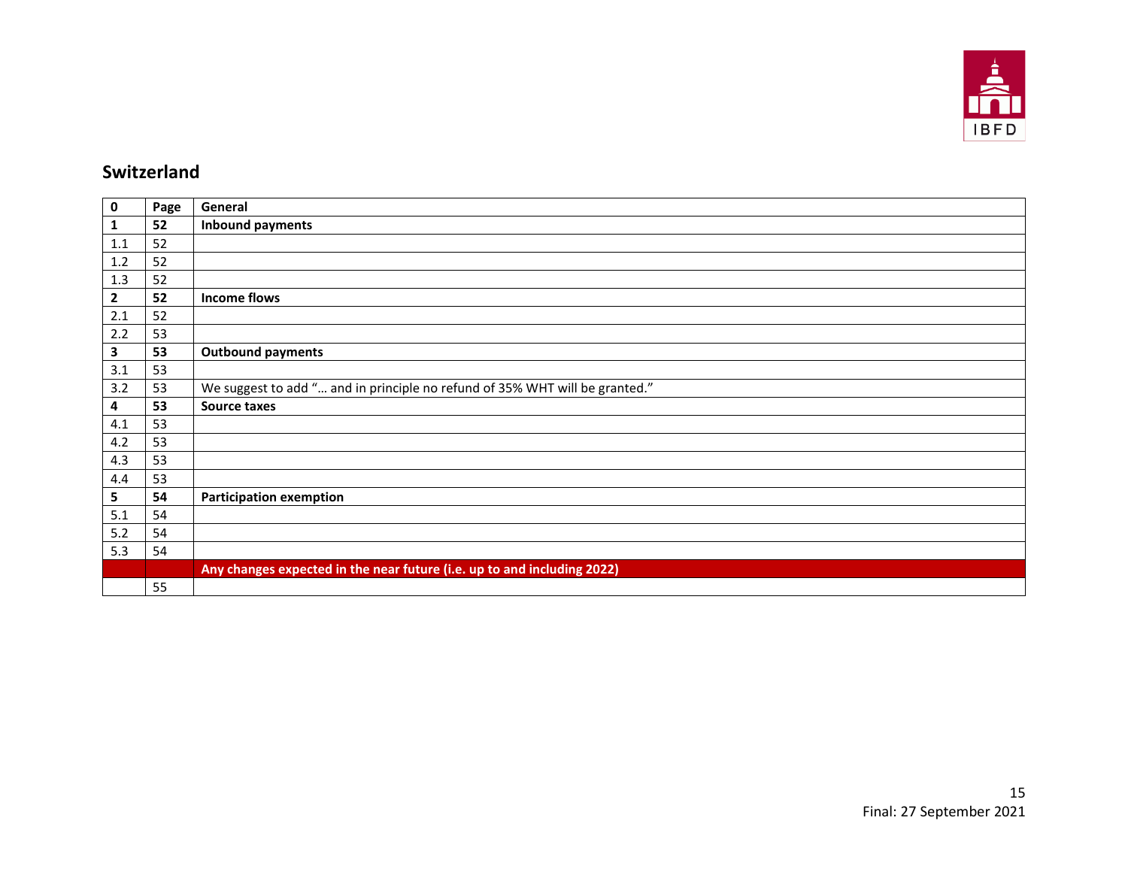

#### **Switzerland**

| $\mathbf 0$             | Page | General                                                                     |
|-------------------------|------|-----------------------------------------------------------------------------|
| 1                       | 52   | <b>Inbound payments</b>                                                     |
| 1.1                     | 52   |                                                                             |
| 1.2                     | 52   |                                                                             |
| 1.3                     | 52   |                                                                             |
| $\overline{\mathbf{2}}$ | 52   | <b>Income flows</b>                                                         |
| $2.1$                   | 52   |                                                                             |
| 2.2                     | 53   |                                                                             |
| $\mathbf{3}$            | 53   | <b>Outbound payments</b>                                                    |
| 3.1                     | 53   |                                                                             |
| 3.2                     | 53   | We suggest to add " and in principle no refund of 35% WHT will be granted." |
| 4                       | 53   | Source taxes                                                                |
| 4.1                     | 53   |                                                                             |
| 4.2                     | 53   |                                                                             |
| 4.3                     | 53   |                                                                             |
| 4.4                     | 53   |                                                                             |
| 5                       | 54   | <b>Participation exemption</b>                                              |
| 5.1                     | 54   |                                                                             |
| 5.2                     | 54   |                                                                             |
| 5.3                     | 54   |                                                                             |
|                         |      | Any changes expected in the near future (i.e. up to and including 2022)     |
|                         | 55   |                                                                             |